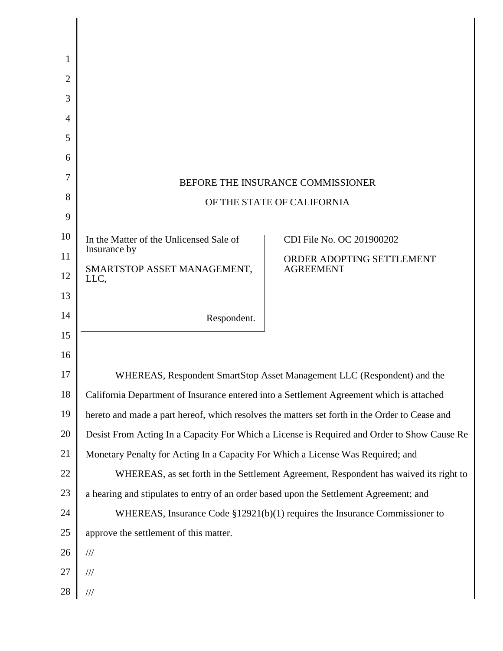| 1              |                                                                                             |                                                                                               |
|----------------|---------------------------------------------------------------------------------------------|-----------------------------------------------------------------------------------------------|
| 2              |                                                                                             |                                                                                               |
| 3              |                                                                                             |                                                                                               |
| $\overline{4}$ |                                                                                             |                                                                                               |
| 5              |                                                                                             |                                                                                               |
| 6              |                                                                                             |                                                                                               |
| 7              |                                                                                             |                                                                                               |
| 8              | BEFORE THE INSURANCE COMMISSIONER                                                           |                                                                                               |
| 9              |                                                                                             | OF THE STATE OF CALIFORNIA                                                                    |
| 10             | In the Matter of the Unlicensed Sale of                                                     | CDI File No. OC 201900202                                                                     |
| 11             | Insurance by                                                                                | ORDER ADOPTING SETTLEMENT                                                                     |
| 12             | SMARTSTOP ASSET MANAGEMENT,<br>LLC,                                                         | <b>AGREEMENT</b>                                                                              |
| 13             |                                                                                             |                                                                                               |
| 14             | Respondent.                                                                                 |                                                                                               |
| 15             |                                                                                             |                                                                                               |
| 16             |                                                                                             |                                                                                               |
| 17             |                                                                                             | WHEREAS, Respondent SmartStop Asset Management LLC (Respondent) and the                       |
| 18             |                                                                                             | California Department of Insurance entered into a Settlement Agreement which is attached      |
| 19             |                                                                                             | hereto and made a part hereof, which resolves the matters set forth in the Order to Cease and |
| 20             | Desist From Acting In a Capacity For Which a License is Required and Order to Show Cause Re |                                                                                               |
| 21             | Monetary Penalty for Acting In a Capacity For Which a License Was Required; and             |                                                                                               |
| 22             |                                                                                             | WHEREAS, as set forth in the Settlement Agreement, Respondent has waived its right to         |
| 23             | a hearing and stipulates to entry of an order based upon the Settlement Agreement; and      |                                                                                               |
| 24             |                                                                                             | WHEREAS, Insurance Code $$12921(b)(1)$ requires the Insurance Commissioner to                 |
| 25             | approve the settlement of this matter.                                                      |                                                                                               |
| 26             | $/ \! / \! /$                                                                               |                                                                                               |
| 27             | $\frac{1}{1}$                                                                               |                                                                                               |
| 28             | $/\!/ \!/$                                                                                  |                                                                                               |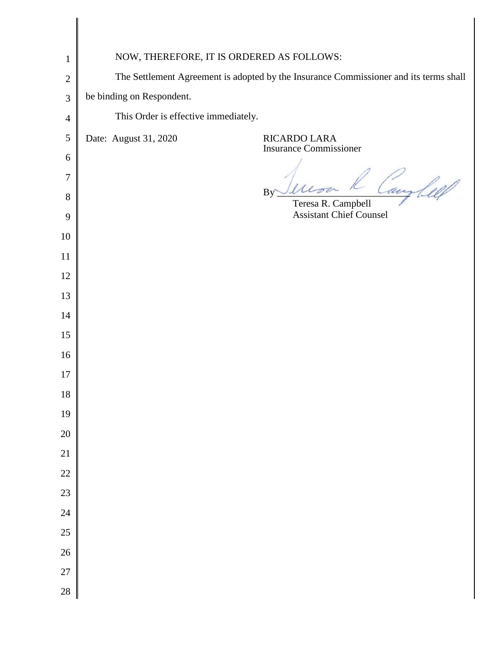| $\mathbf{1}$   | NOW, THEREFORE, IT IS ORDERED AS FOLLOWS:                                             |
|----------------|---------------------------------------------------------------------------------------|
| $\mathbf{2}$   | The Settlement Agreement is adopted by the Insurance Commissioner and its terms shall |
| 3              | be binding on Respondent.                                                             |
| $\overline{4}$ | This Order is effective immediately.                                                  |
| $\mathfrak{S}$ | Date: August 31, 2020<br>RICARDO LARA                                                 |
| 6              | <b>Insurance Commissioner</b>                                                         |
| 7              | aus<br>$\mu$                                                                          |
| 8              | By<br>Teresa R. Campbell                                                              |
| 9              | <b>Assistant Chief Counsel</b>                                                        |
| 10             |                                                                                       |
| 11             |                                                                                       |
| 12             |                                                                                       |
| 13             |                                                                                       |
| 14             |                                                                                       |
| 15<br>16       |                                                                                       |
| 17             |                                                                                       |
| 18             |                                                                                       |
| 19             |                                                                                       |
| $20\,$         |                                                                                       |
| 21             |                                                                                       |
| $22\,$         |                                                                                       |
| 23             |                                                                                       |
| $24\,$         |                                                                                       |
| $25\,$         |                                                                                       |
| $26\,$         |                                                                                       |
| $27\,$         |                                                                                       |
| $28\,$         |                                                                                       |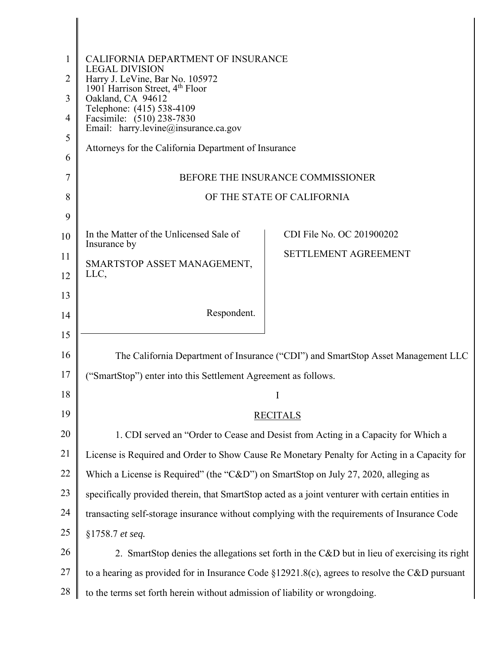| 1  | CALIFORNIA DEPARTMENT OF INSURANCE                                                                  |  |  |
|----|-----------------------------------------------------------------------------------------------------|--|--|
| 2  | <b>LEGAL DIVISION</b><br>Harry J. LeVine, Bar No. 105972                                            |  |  |
| 3  | 1901 Harrison Street, 4th Floor<br>Oakland, CA 94612                                                |  |  |
| 4  | Telephone: (415) 538-4109<br>Facsimile: (510) 238-7830                                              |  |  |
| 5  | Email: harry.levine@insurance.ca.gov                                                                |  |  |
| 6  | Attorneys for the California Department of Insurance                                                |  |  |
| 7  | BEFORE THE INSURANCE COMMISSIONER                                                                   |  |  |
| 8  | OF THE STATE OF CALIFORNIA                                                                          |  |  |
| 9  |                                                                                                     |  |  |
| 10 | In the Matter of the Unlicensed Sale of<br>CDI File No. OC 201900202<br>Insurance by                |  |  |
| 11 | <b>SETTLEMENT AGREEMENT</b><br>SMARTSTOP ASSET MANAGEMENT,                                          |  |  |
| 12 | LLC,                                                                                                |  |  |
| 13 |                                                                                                     |  |  |
| 14 | Respondent.                                                                                         |  |  |
| 15 |                                                                                                     |  |  |
| 16 | The California Department of Insurance ("CDI") and SmartStop Asset Management LLC                   |  |  |
| 17 | ("SmartStop") enter into this Settlement Agreement as follows.                                      |  |  |
| 18 | I                                                                                                   |  |  |
| 19 | <b>RECITALS</b>                                                                                     |  |  |
| 20 | 1. CDI served an "Order to Cease and Desist from Acting in a Capacity for Which a                   |  |  |
| 21 | License is Required and Order to Show Cause Re Monetary Penalty for Acting in a Capacity for        |  |  |
| 22 | Which a License is Required" (the "C&D") on SmartStop on July 27, 2020, alleging as                 |  |  |
| 23 | specifically provided therein, that SmartStop acted as a joint venturer with certain entities in    |  |  |
| 24 | transacting self-storage insurance without complying with the requirements of Insurance Code        |  |  |
| 25 | §1758.7 et seq.                                                                                     |  |  |
| 26 | 2. SmartStop denies the allegations set forth in the C&D but in lieu of exercising its right        |  |  |
| 27 | to a hearing as provided for in Insurance Code $\S 12921.8(c)$ , agrees to resolve the C&D pursuant |  |  |
| 28 | to the terms set forth herein without admission of liability or wrongdoing.                         |  |  |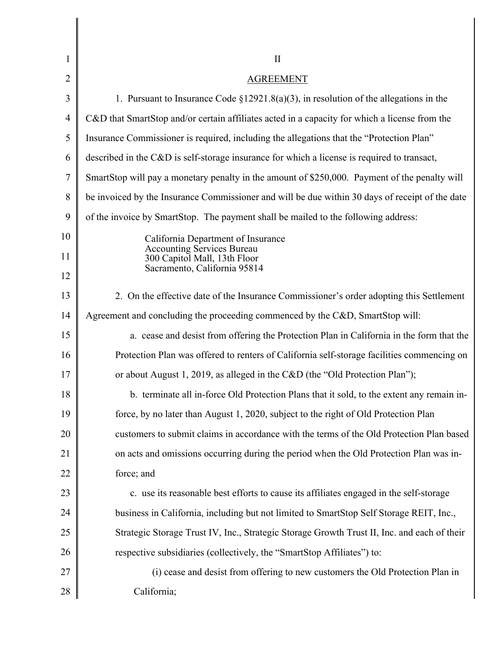| 1              | $\rm II$                                                                                        |  |
|----------------|-------------------------------------------------------------------------------------------------|--|
| $\overline{2}$ | <b>AGREEMENT</b>                                                                                |  |
| 3              |                                                                                                 |  |
|                | 1. Pursuant to Insurance Code $\S 12921.8(a)(3)$ , in resolution of the allegations in the      |  |
| 4              | C&D that SmartStop and/or certain affiliates acted in a capacity for which a license from the   |  |
| 5              | Insurance Commissioner is required, including the allegations that the "Protection Plan"        |  |
| 6              | described in the C&D is self-storage insurance for which a license is required to transact,     |  |
| 7              | SmartStop will pay a monetary penalty in the amount of \$250,000. Payment of the penalty will   |  |
| 8              | be invoiced by the Insurance Commissioner and will be due within 30 days of receipt of the date |  |
| 9              | of the invoice by SmartStop. The payment shall be mailed to the following address:              |  |
| 10             | California Department of Insurance                                                              |  |
| 11             | <b>Accounting Services Bureau</b><br>300 Capitol Mall, 13th Floor                               |  |
| 12             | Sacramento, California 95814                                                                    |  |
| 13             | 2. On the effective date of the Insurance Commissioner's order adopting this Settlement         |  |
| 14             | Agreement and concluding the proceeding commenced by the C&D, SmartStop will:                   |  |
| 15             | a. cease and desist from offering the Protection Plan in California in the form that the        |  |
| 16             | Protection Plan was offered to renters of California self-storage facilities commencing on      |  |
| 17             | or about August 1, 2019, as alleged in the C&D (the "Old Protection Plan");                     |  |
| 18             | b. terminate all in-force Old Protection Plans that it sold, to the extent any remain in-       |  |
| 19             | force, by no later than August 1, 2020, subject to the right of Old Protection Plan             |  |
| 20             | customers to submit claims in accordance with the terms of the Old Protection Plan based        |  |
| 21             | on acts and omissions occurring during the period when the Old Protection Plan was in-          |  |
| 22             | force; and                                                                                      |  |
| 23             | c. use its reasonable best efforts to cause its affiliates engaged in the self-storage          |  |
| 24             | business in California, including but not limited to SmartStop Self Storage REIT, Inc.,         |  |
| 25             | Strategic Storage Trust IV, Inc., Strategic Storage Growth Trust II, Inc. and each of their     |  |
| 26             | respective subsidiaries (collectively, the "SmartStop Affiliates") to:                          |  |
| 27             | (i) cease and desist from offering to new customers the Old Protection Plan in                  |  |
| 28             | California;                                                                                     |  |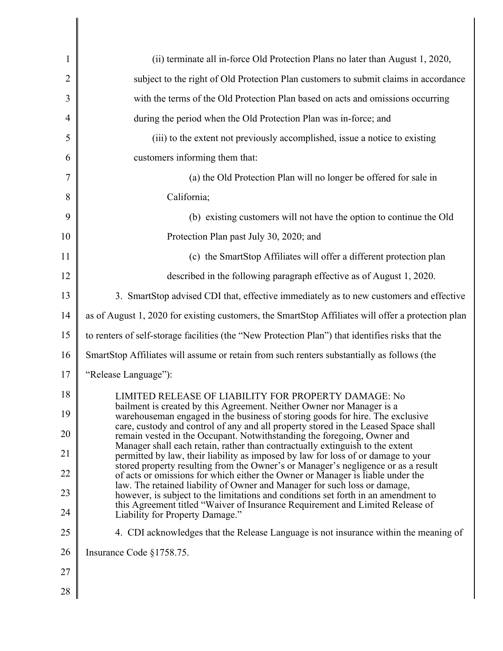| 1              | (ii) terminate all in-force Old Protection Plans no later than August 1, 2020,                                                                                                                                                                   |
|----------------|--------------------------------------------------------------------------------------------------------------------------------------------------------------------------------------------------------------------------------------------------|
| $\overline{2}$ | subject to the right of Old Protection Plan customers to submit claims in accordance                                                                                                                                                             |
| 3              | with the terms of the Old Protection Plan based on acts and omissions occurring                                                                                                                                                                  |
| 4              | during the period when the Old Protection Plan was in-force; and                                                                                                                                                                                 |
| 5              | (iii) to the extent not previously accomplished, issue a notice to existing                                                                                                                                                                      |
| 6              | customers informing them that:                                                                                                                                                                                                                   |
| 7              | (a) the Old Protection Plan will no longer be offered for sale in                                                                                                                                                                                |
| 8              | California;                                                                                                                                                                                                                                      |
| 9              | (b) existing customers will not have the option to continue the Old                                                                                                                                                                              |
| 10             | Protection Plan past July 30, 2020; and                                                                                                                                                                                                          |
| 11             | (c) the SmartStop Affiliates will offer a different protection plan                                                                                                                                                                              |
| 12             | described in the following paragraph effective as of August 1, 2020.                                                                                                                                                                             |
| 13             | 3. SmartStop advised CDI that, effective immediately as to new customers and effective                                                                                                                                                           |
| 14             | as of August 1, 2020 for existing customers, the SmartStop Affiliates will offer a protection plan                                                                                                                                               |
| 15             | to renters of self-storage facilities (the "New Protection Plan") that identifies risks that the                                                                                                                                                 |
| 16             | SmartStop Affiliates will assume or retain from such renters substantially as follows (the                                                                                                                                                       |
| 17             | "Release Language"):                                                                                                                                                                                                                             |
| 18             | LIMITED RELEASE OF LIABILITY FOR PROPERTY DAMAGE: No                                                                                                                                                                                             |
| 19             | bailment is created by this Agreement. Neither Owner nor Manager is a<br>warehouseman engaged in the business of storing goods for hire. The exclusive                                                                                           |
| 20             | care, custody and control of any and all property stored in the Leased Space shall<br>remain vested in the Occupant. Notwithstanding the foregoing, Owner and                                                                                    |
| 21             | Manager shall each retain, rather than contractually extinguish to the extent<br>permitted by law, their liability as imposed by law for loss of or damage to your                                                                               |
| 22             | stored property resulting from the Owner's or Manager's negligence or as a result<br>of acts or omissions for which either the Owner or Manager is liable under the<br>law. The retained liability of Owner and Manager for such loss or damage, |
| 23             | however, is subject to the limitations and conditions set forth in an amendment to<br>this Agreement titled "Waiver of Insurance Requirement and Limited Release of                                                                              |
| 24             | Liability for Property Damage."                                                                                                                                                                                                                  |
| 25             | 4. CDI acknowledges that the Release Language is not insurance within the meaning of                                                                                                                                                             |
| 26             | Insurance Code §1758.75.                                                                                                                                                                                                                         |
| 27             |                                                                                                                                                                                                                                                  |
| 28             |                                                                                                                                                                                                                                                  |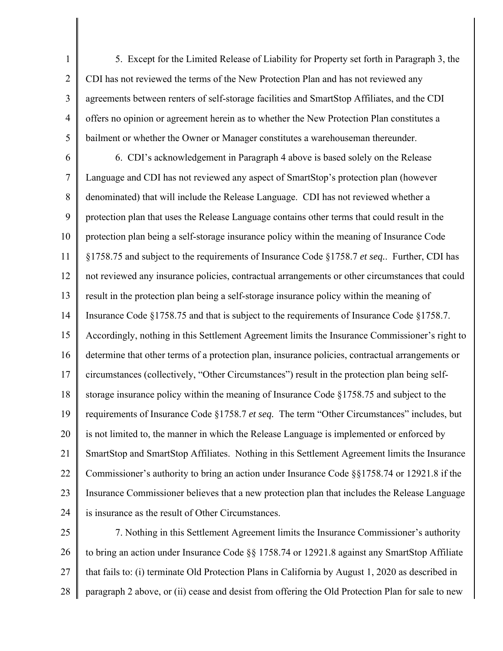1 2 3 4 5 5. Except for the Limited Release of Liability for Property set forth in Paragraph 3, the CDI has not reviewed the terms of the New Protection Plan and has not reviewed any agreements between renters of self-storage facilities and SmartStop Affiliates, and the CDI offers no opinion or agreement herein as to whether the New Protection Plan constitutes a bailment or whether the Owner or Manager constitutes a warehouseman thereunder.

6 7 8 9 10 11 12 13 14 15 16 17 18 19 20 21 22 23 24 6. CDI's acknowledgement in Paragraph 4 above is based solely on the Release Language and CDI has not reviewed any aspect of SmartStop's protection plan (however denominated) that will include the Release Language. CDI has not reviewed whether a protection plan that uses the Release Language contains other terms that could result in the protection plan being a self-storage insurance policy within the meaning of Insurance Code §1758.75 and subject to the requirements of Insurance Code §1758.7 *et seq.*. Further, CDI has not reviewed any insurance policies, contractual arrangements or other circumstances that could result in the protection plan being a self-storage insurance policy within the meaning of Insurance Code §1758.75 and that is subject to the requirements of Insurance Code §1758.7. Accordingly, nothing in this Settlement Agreement limits the Insurance Commissioner's right to determine that other terms of a protection plan, insurance policies, contractual arrangements or circumstances (collectively, "Other Circumstances") result in the protection plan being selfstorage insurance policy within the meaning of Insurance Code §1758.75 and subject to the requirements of Insurance Code §1758.7 *et seq.* The term "Other Circumstances" includes, but is not limited to, the manner in which the Release Language is implemented or enforced by SmartStop and SmartStop Affiliates. Nothing in this Settlement Agreement limits the Insurance Commissioner's authority to bring an action under Insurance Code §§1758.74 or 12921.8 if the Insurance Commissioner believes that a new protection plan that includes the Release Language is insurance as the result of Other Circumstances.

25 26 27 28 7. Nothing in this Settlement Agreement limits the Insurance Commissioner's authority to bring an action under Insurance Code §§ 1758.74 or 12921.8 against any SmartStop Affiliate that fails to: (i) terminate Old Protection Plans in California by August 1, 2020 as described in paragraph 2 above, or (ii) cease and desist from offering the Old Protection Plan for sale to new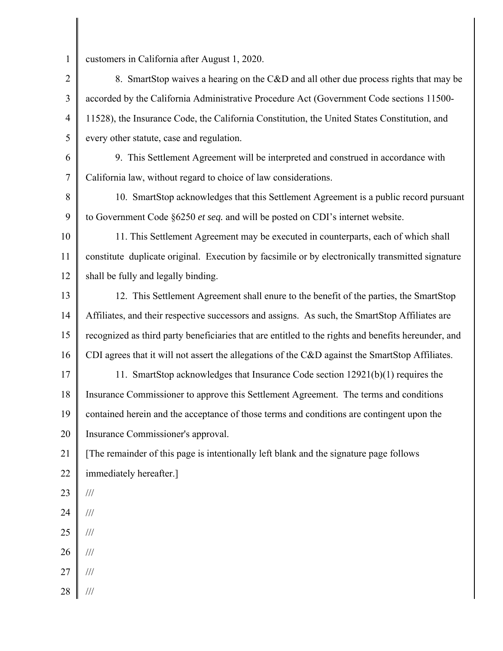1

customers in California after August 1, 2020.

2 3 4 5 8. SmartStop waives a hearing on the C&D and all other due process rights that may be accorded by the California Administrative Procedure Act (Government Code sections 11500- 11528), the Insurance Code, the California Constitution, the United States Constitution, and every other statute, case and regulation.

 California law, without regard to choice of law considerations. 6 7 9. This Settlement Agreement will be interpreted and construed in accordance with

8 9 10. SmartStop acknowledges that this Settlement Agreement is a public record pursuant to Government Code §6250 *et seq.* and will be posted on CDI's internet website.

10 11 12 11. This Settlement Agreement may be executed in counterparts, each of which shall constitute duplicate original. Execution by facsimile or by electronically transmitted signature shall be fully and legally binding.

13 14 15 16 12. This Settlement Agreement shall enure to the benefit of the parties, the SmartStop Affiliates, and their respective successors and assigns. As such, the SmartStop Affiliates are recognized as third party beneficiaries that are entitled to the rights and benefits hereunder, and CDI agrees that it will not assert the allegations of the C&D against the SmartStop Affiliates.

17 18 19 20 11. SmartStop acknowledges that Insurance Code section 12921(b)(1) requires the Insurance Commissioner to approve this Settlement Agreement. The terms and conditions contained herein and the acceptance of those terms and conditions are contingent upon the Insurance Commissioner's approval.

21 22 [The remainder of this page is intentionally left blank and the signature page follows immediately hereafter.]

- 23 ///
- 24 ///
- 25 ///
- 26 ///
- 27 ///
- 28 ///